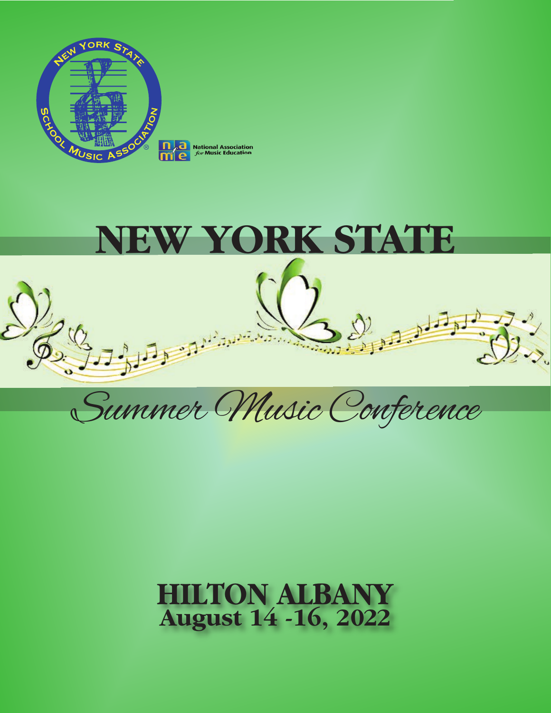



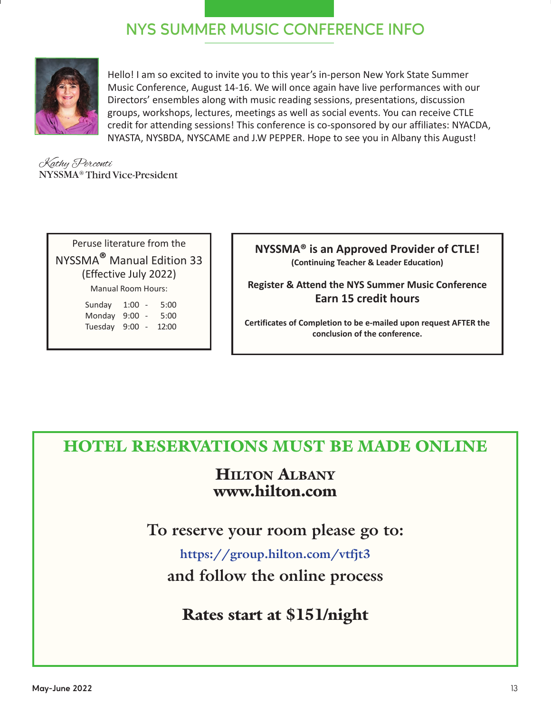## **NYS SUMMER MUSIC CONFERENCE INFO**



Hello! I am so excited to invite you to this year's in-person New York State Summer Music Conference, August 1416. We will once again have live performances with our Directors' ensembles along with music reading sessions, presentations, discussion groups, workshops, lectures, meetings as well as social events. You can receive CTLE credit for attending sessions! This conference is co-sponsored by our affiliates: NYACDA, NYASTA, NYSBDA, NYSCAME and J.W PEPPER. Hope to see you in Albany this August!

Kathy Perconti NYSSMA® Third Vice-President

Peruse literature from the NYSSMA**®** Manual Edition 33 (Effective July 2022) Manual Room Hours: Sunday 1:00 - 5:00

Monday 9:00 - 5:00 Tuesday 9:00 - 12:00

**NYSSMA® is an Approved Provider of CTLE! (Continuing Teacher & Leader Education)** 

**Register & Attend the NYS Summer Music Conference Earn 15 credit hours** 

**Certificates of Completion to be emailed upon request AFTER the conclusion of the conference.**

## HOTEL RESERVATIONS MUST BE MADE ONLINE

## HILTON ALBANY www.hilton.com

**To reserve your room please go to:** 

**https://group.hilton.com/vtfjt3 and follow the online process**

Rates start at \$151/night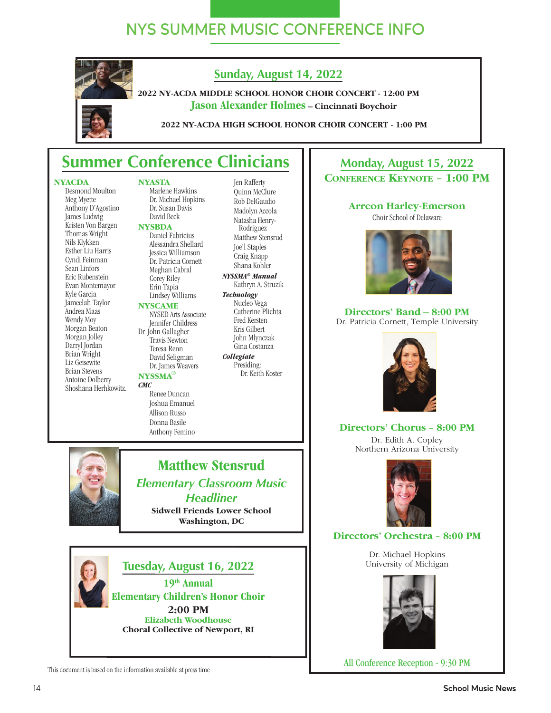## **NYS SUMMER MUSIC CONFERENCE INFO**

## **Sunday, August 14, 2022**

**2022 NY-ACDA MIDDLE SCHOOL HONOR CHOIR CONCERT - 12:00 PM Jason Alexander Holmes – Cincinnati Boychoir**

**2022 NY-ACDA HIGH SCHOOL HONOR CHOIR CONCERT - 1:00 PM** 

## **Summer Conference Clinicians**

#### **NYACDA**

Desmond Moulton Meg Myette Anthony D'Agostino James Ludwig Kristen Von Bargen Thomas Wright Nils Klykken Esther Liu Harris Cyndi Feinman Sean Linfors Eric Rubenstein Evan Montemayor Kyle Garcia Jameelah Taylor Andrea Maas Wendy Moy Morgan Beaton Morgan Jolley Darryl Jordan Brian Wright Liz Geisewite Brian Stevens Antoine Dolberry Shoshana Herhkowitz.

Marlene Hawkins Dr. Michael Hopkins Dr. Susan Davis David Beck

#### **NYSBDA**

**NYASTA**

Daniel Fabricius Alessandra Shellard Jessica Williamson Dr. Patricia Cornett Meghan Cabral Corey Riley Erin Tapia Lindsey Williams

#### **NYSCAME**

NYSED Arts Associate Jennifer Childress Dr. John Gallagher Travis Newton Teresa Renn David Seligman

Dr. James Weavers

Allison Russo Donna Basile Anthony Femino

#### **NYSSMA®**

*CMC* Renee Duncan Joshua Emanuel

Quinn McClure Rob DelGaudio Madolyn Accola Natasha Henry- Rodriguez Matthew Stensrud Joe'l Staples Craig Knapp Shana Kohler *NYSSMA® Manual* 

Jen Rafferty

Kathryn A. Struzik *Technology* Nucleo Vega

Catherine Plichta Fred Kersten Kris Gilbert John Mlynczak Gina Costanza

*Collegiate* Presiding: Dr. Keith Koster

#### **Monday, August 15, 2022 CONFERENCE KEYNOTE** – **1:00 PM**

#### **Arreon Harley-Emerson**

Choir School of Delaware



**Directors' Band – 8:00 PM** Dr. Patricia Cornett, Temple University



#### **Directors' Chorus** – **8:00 PM**

Dr. Edith A. Copley Northern Arizona University



#### **Directors' Orchestra** – **8:00 PM**

Dr. Michael Hopkins University of Michigan



All Conference Reception - 9:30 PM



#### **Matthew Stensrud** *Elementary Classroom Music Headliner* **Sidwell Friends Lower School**

**Washington, DC** 



This document is based on the information available at press time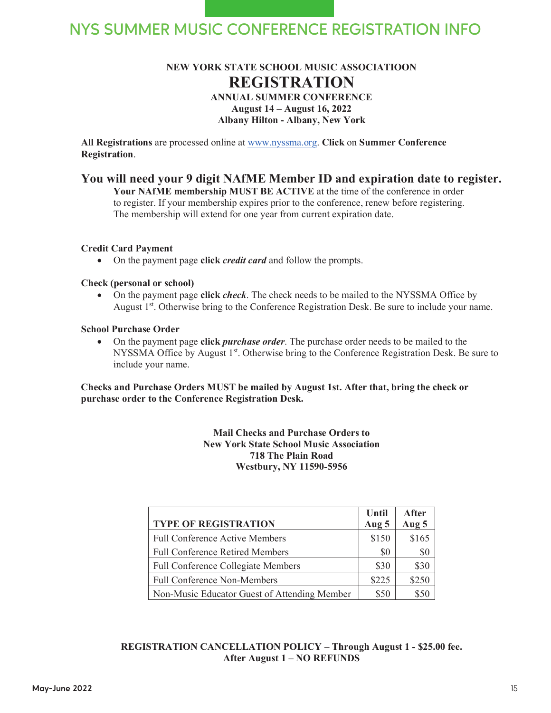## **NYS SUMMER MUSIC CONFERENCE REGISTRATION INFO**

#### **NEW YORK STATE SCHOOL MUSIC ASSOCIATIOON REGISTRATION ANNUAL SUMMER CONFERENCE August 14 – August 16, 2022 Albany Hilton - Albany, New York**

**All Registrations** are processed online at www.nyssma.org. **Click** on **Summer Conference Registration**.

#### **You will need your 9 digit NAfME Member ID and expiration date to register.**

**Your NAfME membership MUST BE ACTIVE** at the time of the conference in order to register. If your membership expires prior to the conference, renew before registering. The membership will extend for one year from current expiration date.

#### **Credit Card Payment**

• On the payment page **click** *credit card* and follow the prompts.

#### **Check (personal or school)**

• On the payment page **click** *check*. The check needs to be mailed to the NYSSMA Office by August 1<sup>st</sup>. Otherwise bring to the Conference Registration Desk. Be sure to include your name.

#### **School Purchase Order**

• On the payment page **click** *purchase order*. The purchase order needs to be mailed to the NYSSMA Office by August  $1<sup>st</sup>$ . Otherwise bring to the Conference Registration Desk. Be sure to include your name.

**Checks and Purchase Orders MUST be mailed by August 1st. After that, bring the check or purchase order to the Conference Registration Desk.** 

> **Mail Checks and Purchase Orders to New York State School Music Association 718 The Plain Road Westbury, NY 11590-5956**

|                                              | Until | After |
|----------------------------------------------|-------|-------|
| <b>TYPE OF REGISTRATION</b>                  | Aug 5 | Aug 5 |
| <b>Full Conference Active Members</b>        | \$150 | \$165 |
| <b>Full Conference Retired Members</b>       | \$0   | \$0   |
| <b>Full Conference Collegiate Members</b>    | \$30  | \$30  |
| <b>Full Conference Non-Members</b>           | \$225 | \$250 |
| Non-Music Educator Guest of Attending Member | \$50  |       |

#### **REGISTRATION CANCELLATION POLICY – Through August 1 - \$25.00 fee. After August 1 – NO REFUNDS**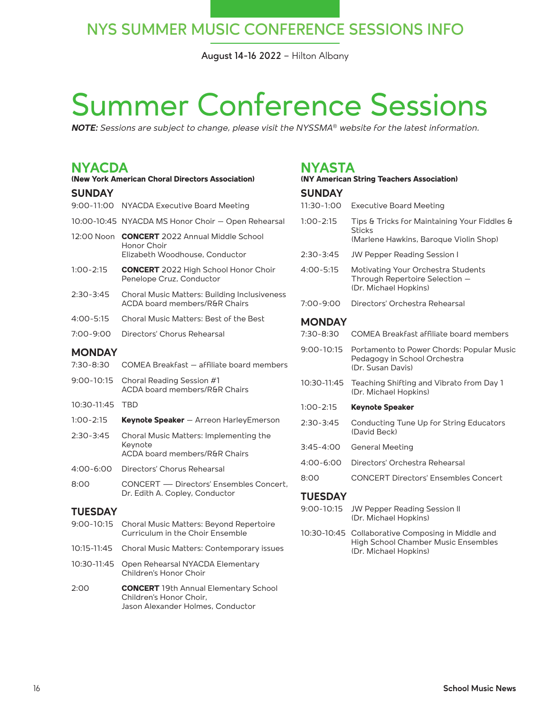## **NYS SUMMER MUSIC CONFERENCE SESSIONS INFO**

**August 14-16 2022** – Hilton Albany

# Summer Conference Sessions

*NOTE: Sessions are subject to change, please visit the NYSSMA® website for the latest information.*

## **NYACDA**

| (New York American Choral Directors Association) |                                                                                           |  |
|--------------------------------------------------|-------------------------------------------------------------------------------------------|--|
| <b>SUNDAY</b>                                    |                                                                                           |  |
|                                                  | 9:00-11:00 NYACDA Executive Board Meeting                                                 |  |
|                                                  | 10:00-10:45 NYACDA MS Honor Choir - Open Rehearsal                                        |  |
| 12:00 Noon                                       | <b>CONCERT</b> 2022 Annual Middle School<br>Honor Choir<br>Elizabeth Woodhouse, Conductor |  |
| $1:00 - 2:15$                                    | <b>CONCERT</b> 2022 High School Honor Choir<br>Penelope Cruz, Conductor                   |  |
| 2:30-3:45                                        | <b>Choral Music Matters: Building Inclusiveness</b><br>ACDA board members/R&R Chairs      |  |
| $4:00 - 5:15$                                    | Choral Music Matters: Best of the Best                                                    |  |
| 7:00-9:00                                        | Directors' Chorus Rehearsal                                                               |  |
| <b>MONDAY</b>                                    |                                                                                           |  |
| 7:30-8:30                                        | COMEA Breakfast - affiliate board members                                                 |  |
| $9:00 - 10:15$                                   | Choral Reading Session #1<br>ACDA board members/R&R Chairs                                |  |
| 10:30-11:45                                      | <b>TBD</b>                                                                                |  |
| $1:00 - 2:15$                                    | <b>Keynote Speaker</b> – Arreon Harley Emerson                                            |  |
| $2:30-3:45$                                      | Choral Music Matters: Implementing the<br>Keynote<br>ACDA board members/R&R Chairs        |  |
| 4:00-6:00                                        | Directors' Chorus Rehearsal                                                               |  |
| 8:00                                             | CONCERT - Directors' Ensembles Concert,<br>Dr. Edith A. Copley, Conductor                 |  |
| <b>TUESDAY</b>                                   |                                                                                           |  |
| $9:00 - 10:15$                                   | Choral Music Matters: Beyond Repertoire<br>Curriculum in the Choir Ensemble               |  |
| 10:15-11:45                                      | Choral Music Matters: Contemporary issues                                                 |  |
| 10:30-11:45                                      | Open Rehearsal NYACDA Elementary<br>Children's Honor Choir                                |  |
| 2:00                                             | <b>CONCERT</b> 19th Annual Elementary School<br>Children's Honor Choir,                   |  |

Jason Alexander Holmes, Conductor

#### **NYASTA**

| (NY American String Teachers Association) |                                                                                                              |  |
|-------------------------------------------|--------------------------------------------------------------------------------------------------------------|--|
| <b>SUNDAY</b>                             |                                                                                                              |  |
| 11:30-1:00                                | <b>Executive Board Meeting</b>                                                                               |  |
| $1:00 - 2:15$                             | Tips & Tricks for Maintaining Your Fiddles &<br><b>Sticks</b><br>(Marlene Hawkins, Baroque Violin Shop)      |  |
| $2:30 - 3:45$                             | JW Pepper Reading Session I                                                                                  |  |
| $4:00 - 5:15$                             | Motivating Your Orchestra Students<br>Through Repertoire Selection -<br>(Dr. Michael Hopkins)                |  |
| 7:00-9:00                                 | Directors' Orchestra Rehearsal                                                                               |  |
| <b>MONDAY</b>                             |                                                                                                              |  |
| $7:30 - 8:30$                             | COMEA Breakfast affiliate board members                                                                      |  |
| 9:00-10:15                                | Portamento to Power Chords: Popular Music<br>Pedagogy in School Orchestra<br>(Dr. Susan Davis)               |  |
| 10:30-11:45                               | Teaching Shifting and Vibrato from Day 1<br>(Dr. Michael Hopkins)                                            |  |
| $1:00 - 2:15$                             | <b>Keynote Speaker</b>                                                                                       |  |
| $2:30-3:45$                               | Conducting Tune Up for String Educators<br>(David Beck)                                                      |  |
| $3:45 - 4:00$                             | <b>General Meeting</b>                                                                                       |  |
| 4:00-6:00                                 | Directors' Orchestra Rehearsal                                                                               |  |
| 8:00                                      | <b>CONCERT Directors' Ensembles Concert</b>                                                                  |  |
| <b>TUESDAY</b>                            |                                                                                                              |  |
| 9:00-10:15                                | JW Pepper Reading Session II<br>(Dr. Michael Hopkins)                                                        |  |
| 10:30-10:45                               | Collaborative Composing in Middle and<br><b>High School Chamber Music Ensembles</b><br>(Dr. Michael Hopkins) |  |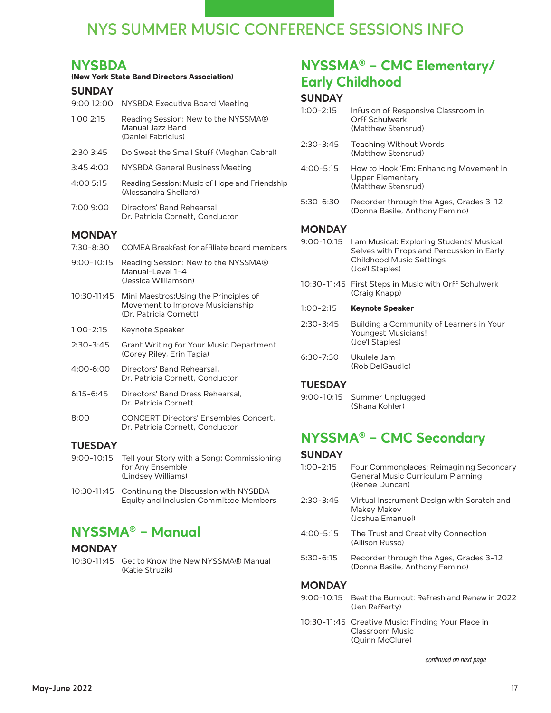## **NYS SUMMER MUSIC CONFERENCE SESSIONS INFO**

### **NYSBDA**

#### **(New York State Band Directors Association)**

#### **SUNDAY**

| 9:00 12:00    | NYSBDA Executive Board Meeting                                                                       |
|---------------|------------------------------------------------------------------------------------------------------|
| 1:00 2:15     | Reading Session: New to the NYSSMA®<br>Manual Jazz Band<br>(Daniel Fabricius)                        |
| 2:30 3:45     | Do Sweat the Small Stuff (Meghan Cabral)                                                             |
| 3:45 4:00     | <b>NYSBDA General Business Meeting</b>                                                               |
| 4:00 5:15     | Reading Session: Music of Hope and Friendship<br>(Alessandra Shellard)                               |
| 7:00 9:00     | Directors' Band Rehearsal<br>Dr. Patricia Cornett, Conductor                                         |
| <b>MONDAY</b> |                                                                                                      |
| $7:30 - 8:30$ | COMEA Breakfast for affiliate board members                                                          |
| 9:00-10:15    | Reading Session: New to the NYSSMA®<br>Manual-Level 1-4<br>(Jessica Williamson)                      |
| 10:30-11:45   | Mini Maestros: Using the Principles of<br>Movement to Improve Musicianship<br>(Dr. Patricia Cornett) |
| $1:00 - 2:15$ | Keynote Speaker                                                                                      |
| $2:30 - 3:45$ | <b>Grant Writing for Your Music Department</b><br>(Corey Riley, Erin Tapia)                          |
| 4:00-6:00     | Directors' Band Rehearsal,<br>Dr. Patricia Cornett, Conductor                                        |
| $6:15 - 6:45$ | Directors' Band Dress Rehearsal,<br>Dr. Patricia Cornett                                             |
|               |                                                                                                      |

8:00 CONCERT Directors' Ensembles Concert, Dr. Patricia Cornett, Conductor

#### **TUESDAY**

- 9:00-10:15 Tell your Story with a Song: Commissioning for Any Ensemble (Lindsey Williams)
- 10:30-11:45 Continuing the Discussion with NYSBDA Equity and Inclusion Committee Members

## **NYSSMA® – Manual**

#### **MONDAY**

10:30-11:45 Get to Know the New NYSSMA® Manual (Katie Struzik)

## **NYSSMA® – CMC Elementary/ Early Childhood**

#### **SUNDAY**

| $1:00 - 2:15$ | Infusion of Responsive Classroom in<br><b>Orff Schulwerk</b><br>(Matthew Stensrud)                                                           |
|---------------|----------------------------------------------------------------------------------------------------------------------------------------------|
| $2:30 - 3:45$ | Teaching Without Words<br>(Matthew Stensrud)                                                                                                 |
| 4:00-5:15     | How to Hook 'Em: Enhancing Movement in<br><b>Upper Elementary</b><br>(Matthew Stensrud)                                                      |
| 5:30-6:30     | Recorder through the Ages, Grades 3-12<br>(Donna Basile, Anthony Femino)                                                                     |
| <b>MONDAY</b> |                                                                                                                                              |
| 9:00-10:15    | I am Musical: Exploring Students' Musical<br>Selves with Props and Percussion in Early<br><b>Childhood Music Settings</b><br>(Joe'l Staples) |
| 10:30-11:45   | First Steps in Music with Orff Schulwerk<br>(Craig Knapp)                                                                                    |
| 1:00-2:15     | <b>Keynote Speaker</b>                                                                                                                       |
| 2:30-3:45     | Building a Community of Learners in Your<br>Youngest Musicians!<br>(Joe'l Staples)                                                           |
| 6:30-7:30     | Ukulele Jam<br>(Rob DelGaudio)                                                                                                               |

#### **TUESDAY**

9:00-10:15 Summer Unplugged (Shana Kohler)

## **NYSSMA® – CMC Secondary**

#### **SUNDAY**

- 1:00-2:15 Four Commonplaces: Reimagining Secondary General Music Curriculum Planning (Renee Duncan) 2:30-3:45 Virtual Instrument Design with Scratch and Makey Makey (Joshua Emanuel)
- 4:00-5:15 The Trust and Creativity Connection (Allison Russo)
- 5:30-6:15 Recorder through the Ages, Grades 3-12 (Donna Basile, Anthony Femino)

#### **MONDAY**

- 9:00-10:15 Beat the Burnout: Refresh and Renew in 2022 (Jen Rafferty)
- 10:30-11:45 Creative Music: Finding Your Place in Classroom Music (Quinn McClure)

continued on next page